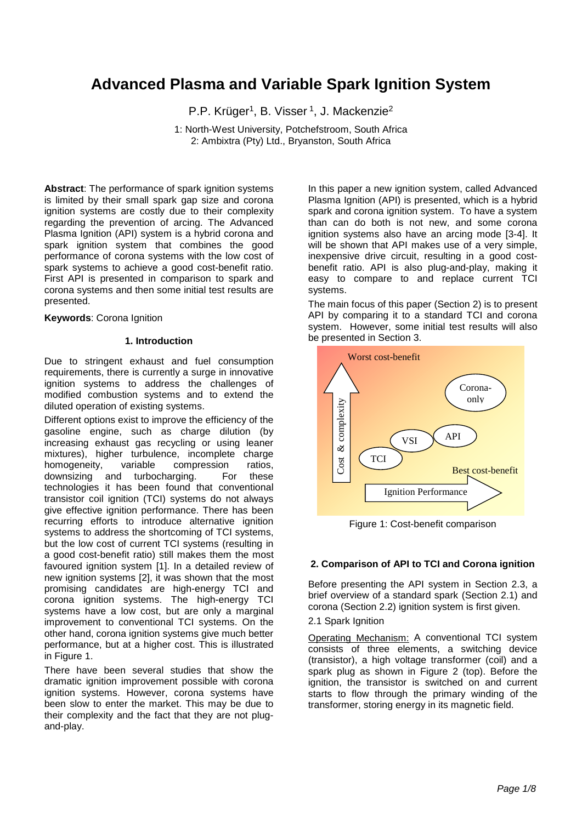# **Advanced Plasma and Variable Spark Ignition System**

P.P. Krüger<sup>1</sup>, B. Visser<sup>1</sup>, J. Mackenzie<sup>2</sup>

1: North-West University, Potchefstroom, South Africa 2: Ambixtra (Pty) Ltd., Bryanston, South Africa

**Abstract**: The performance of spark ignition systems is limited by their small spark gap size and corona ignition systems are costly due to their complexity regarding the prevention of arcing. The Advanced Plasma Ignition (API) system is a hybrid corona and spark ignition system that combines the good performance of corona systems with the low cost of spark systems to achieve a good cost-benefit ratio. First API is presented in comparison to spark and corona systems and then some initial test results are presented.

**Keywords**: Corona Ignition

### **1. Introduction**

Due to stringent exhaust and fuel consumption requirements, there is currently a surge in innovative ignition systems to address the challenges of modified combustion systems and to extend the diluted operation of existing systems.

Different options exist to improve the efficiency of the gasoline engine, such as charge dilution (by increasing exhaust gas recycling or using leaner mixtures), higher turbulence, incomplete charge<br>homogeneity, variable compression ratios, homogeneity, variable compression ratios, downsizing and turbocharging. For these technologies it has been found that conventional transistor coil ignition (TCI) systems do not always give effective ignition performance. There has been recurring efforts to introduce alternative ignition systems to address the shortcoming of TCI systems, but the low cost of current TCI systems (resulting in a good cost-benefit ratio) still makes them the most favoured ignition system [1]. In a detailed review of new ignition systems [2], it was shown that the most promising candidates are high-energy TCI and corona ignition systems. The high-energy TCI systems have a low cost, but are only a marginal improvement to conventional TCI systems. On the other hand, corona ignition systems give much better performance, but at a higher cost. This is illustrated in [Figure 1.](#page-0-0)

There have been several studies that show the dramatic ignition improvement possible with corona ignition systems. However, corona systems have been slow to enter the market. This may be due to their complexity and the fact that they are not plugand-play.

In this paper a new ignition system, called Advanced Plasma Ignition (API) is presented, which is a hybrid spark and corona ignition system. To have a system than can do both is not new, and some corona ignition systems also have an arcing mode [3-4]. It will be shown that API makes use of a very simple, inexpensive drive circuit, resulting in a good costbenefit ratio. API is also plug-and-play, making it easy to compare to and replace current TCI systems.

The main focus of this paper (Section 2) is to present API by comparing it to a standard TCI and corona system. However, some initial test results will also be presented in Section 3.



Figure 1: Cost-benefit comparison

## <span id="page-0-0"></span>**2. Comparison of API to TCI and Corona ignition**

Before presenting the API system in Section 2.3, a brief overview of a standard spark (Section 2.1) and corona (Section 2.2) ignition system is first given.

2.1 Spark Ignition

Operating Mechanism: A conventional TCI system consists of three elements, a switching device (transistor), a high voltage transformer (coil) and a spark plug as shown in [Figure 2](#page-1-0) (top). Before the ignition, the transistor is switched on and current starts to flow through the primary winding of the transformer, storing energy in its magnetic field.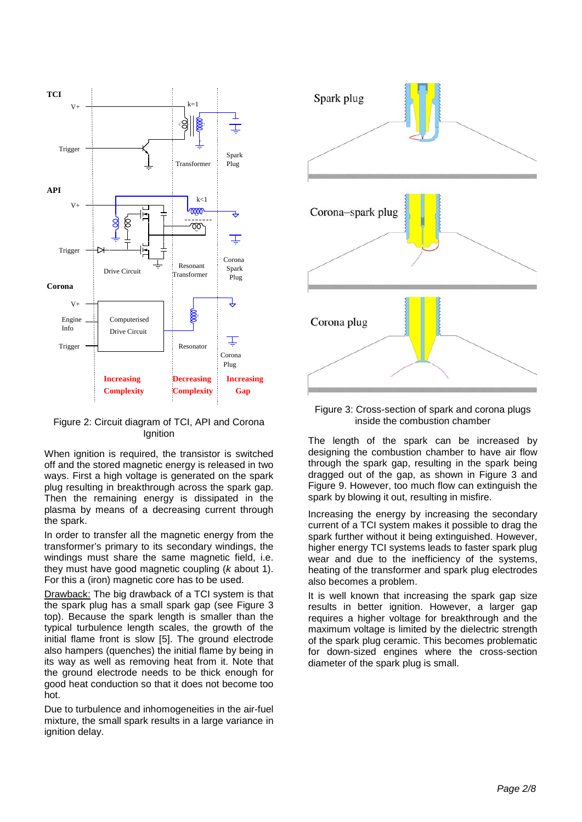

<span id="page-1-0"></span>Figure 2: Circuit diagram of TCI, API and Corona **Ignition** 

When ignition is required, the transistor is switched off and the stored magnetic energy is released in two ways. First a high voltage is generated on the spark plug resulting in breakthrough across the spark gap. Then the remaining energy is dissipated in the plasma by means of a decreasing current through the spark.

In order to transfer all the magnetic energy from the transformer's primary to its secondary windings, the windings must share the same magnetic field, i.e. they must have good magnetic coupling (*k* about 1). For this a (iron) magnetic core has to be used.

Drawback: The big drawback of a TCI system is that the spark plug has a small spark gap (see [Figure 3](#page-1-1) top). Because the spark length is smaller than the typical turbulence length scales, the growth of the initial flame front is slow [5]. The ground electrode also hampers (quenches) the initial flame by being in its way as well as removing heat from it. Note that the ground electrode needs to be thick enough for good heat conduction so that it does not become too hot.

Due to turbulence and inhomogeneities in the air-fuel mixture, the small spark results in a large variance in ignition delay.



<span id="page-1-1"></span>Figure 3: Cross-section of spark and corona plugs inside the combustion chamber

The length of the spark can be increased by designing the combustion chamber to have air flow through the spark gap, resulting in the spark being dragged out of the gap, as shown in [Figure 3](#page-1-1) and [Figure 9.](#page-6-0) However, too much flow can extinguish the spark by blowing it out, resulting in misfire.

Increasing the energy by increasing the secondary current of a TCI system makes it possible to drag the spark further without it being extinguished. However, higher energy TCI systems leads to faster spark plug wear and due to the inefficiency of the systems, heating of the transformer and spark plug electrodes also becomes a problem.

It is well known that increasing the spark gap size results in better ignition. However, a larger gap requires a higher voltage for breakthrough and the maximum voltage is limited by the dielectric strength of the spark plug ceramic. This becomes problematic for down-sized engines where the cross-section diameter of the spark plug is small.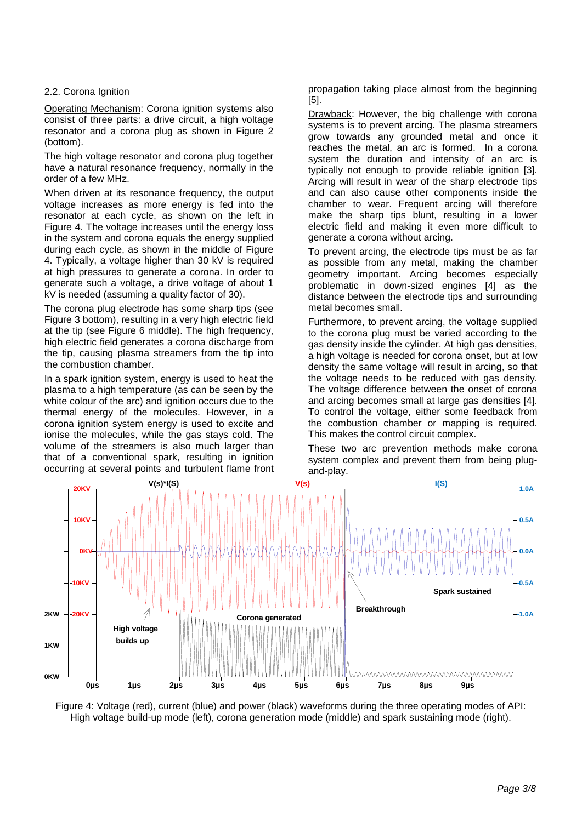## 2.2. Corona Ignition

Operating Mechanism: Corona ignition systems also consist of three parts: a drive circuit, a high voltage resonator and a corona plug as shown in [Figure 2](#page-1-0) (bottom).

The high voltage resonator and corona plug together have a natural resonance frequency, normally in the order of a few MHz.

When driven at its resonance frequency, the output voltage increases as more energy is fed into the resonator at each cycle, as shown on the left in [Figure 4.](#page-2-0) The voltage increases until the energy loss in the system and corona equals the energy supplied during each cycle, as shown in the middle of [Figure](#page-2-0)  [4.](#page-2-0) Typically, a voltage higher than 30 kV is required at high pressures to generate a corona. In order to generate such a voltage, a drive voltage of about 1 kV is needed (assuming a quality factor of 30).

The corona plug electrode has some sharp tips (see [Figure 3](#page-1-1) bottom), resulting in a very high electric field at the tip (see [Figure 6](#page-3-0) middle). The high frequency, high electric field generates a corona discharge from the tip, causing plasma streamers from the tip into the combustion chamber.

In a spark ignition system, energy is used to heat the plasma to a high temperature (as can be seen by the white colour of the arc) and ignition occurs due to the thermal energy of the molecules. However, in a corona ignition system energy is used to excite and ionise the molecules, while the gas stays cold. The volume of the streamers is also much larger than that of a conventional spark, resulting in ignition occurring at several points and turbulent flame front propagation taking place almost from the beginning [5].

Drawback: However, the big challenge with corona systems is to prevent arcing. The plasma streamers grow towards any grounded metal and once it reaches the metal, an arc is formed. In a corona system the duration and intensity of an arc is typically not enough to provide reliable ignition [3]. Arcing will result in wear of the sharp electrode tips and can also cause other components inside the chamber to wear. Frequent arcing will therefore make the sharp tips blunt, resulting in a lower electric field and making it even more difficult to generate a corona without arcing.

To prevent arcing, the electrode tips must be as far as possible from any metal, making the chamber geometry important. Arcing becomes especially problematic in down-sized engines [4] as the distance between the electrode tips and surrounding metal becomes small.

Furthermore, to prevent arcing, the voltage supplied to the corona plug must be varied according to the gas density inside the cylinder. At high gas densities, a high voltage is needed for corona onset, but at low density the same voltage will result in arcing, so that the voltage needs to be reduced with gas density. The voltage difference between the onset of corona and arcing becomes small at large gas densities [4]. To control the voltage, either some feedback from the combustion chamber or mapping is required. This makes the control circuit complex.

These two arc prevention methods make corona system complex and prevent them from being plugand-play.



<span id="page-2-0"></span>Figure 4: Voltage (red), current (blue) and power (black) waveforms during the three operating modes of API: High voltage build-up mode (left), corona generation mode (middle) and spark sustaining mode (right).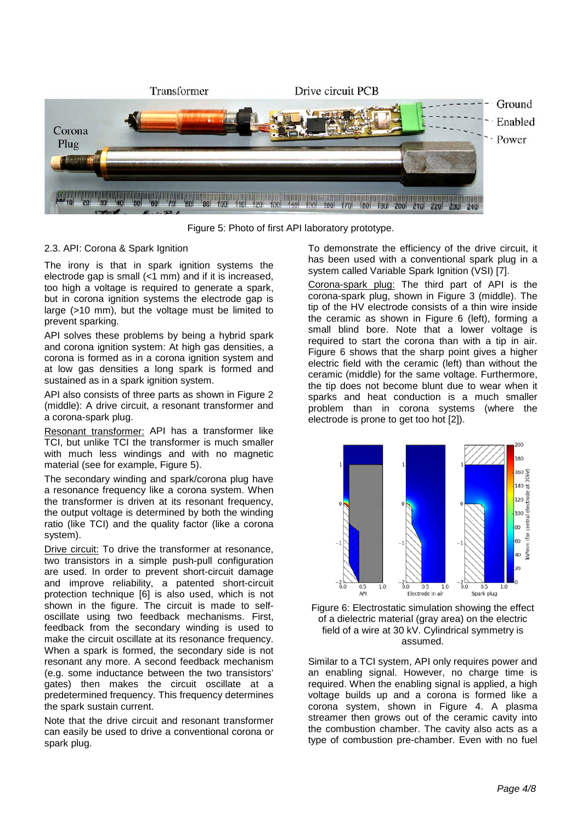

Figure 5: Photo of first API laboratory prototype.

## <span id="page-3-1"></span>2.3. API: Corona & Spark Ignition

The irony is that in spark ignition systems the electrode gap is small (<1 mm) and if it is increased, too high a voltage is required to generate a spark, but in corona ignition systems the electrode gap is large (>10 mm), but the voltage must be limited to prevent sparking.

API solves these problems by being a hybrid spark and corona ignition system: At high gas densities, a corona is formed as in a corona ignition system and at low gas densities a long spark is formed and sustained as in a spark ignition system.

API also consists of three parts as shown in [Figure 2](#page-1-0) (middle): A drive circuit, a resonant transformer and a corona-spark plug.

Resonant transformer: API has a transformer like TCI, but unlike TCI the transformer is much smaller with much less windings and with no magnetic material (see for example, [Figure 5\)](#page-3-1).

The secondary winding and spark/corona plug have a resonance frequency like a corona system. When the transformer is driven at its resonant frequency, the output voltage is determined by both the winding ratio (like TCI) and the quality factor (like a corona system).

Drive circuit: To drive the transformer at resonance, two transistors in a simple push-pull configuration are used. In order to prevent short-circuit damage and improve reliability, a patented short-circuit protection technique [6] is also used, which is not shown in the figure. The circuit is made to selfoscillate using two feedback mechanisms. First, feedback from the secondary winding is used to make the circuit oscillate at its resonance frequency. When a spark is formed, the secondary side is not resonant any more. A second feedback mechanism (e.g. some inductance between the two transistors' gates) then makes the circuit oscillate at a predetermined frequency. This frequency determines the spark sustain current.

Note that the drive circuit and resonant transformer can easily be used to drive a conventional corona or spark plug.

To demonstrate the efficiency of the drive circuit, it has been used with a conventional spark plug in a system called Variable Spark Ignition (VSI) [7].

Corona-spark plug: The third part of API is the corona-spark plug, shown in [Figure 3](#page-1-1) (middle). The tip of the HV electrode consists of a thin wire inside the ceramic as shown in [Figure 6](#page-3-0) (left), forming a small blind bore. Note that a lower voltage is required to start the corona than with a tip in air. Figure 6 shows that the sharp point gives a higher electric field with the ceramic (left) than without the ceramic (middle) for the same voltage. Furthermore, the tip does not become blunt due to wear when it sparks and heat conduction is a much smaller problem than in corona systems (where the electrode is prone to get too hot [2]).



<span id="page-3-0"></span>Figure 6: Electrostatic simulation showing the effect of a dielectric material (gray area) on the electric field of a wire at 30 kV. Cylindrical symmetry is assumed.

Similar to a TCI system, API only requires power and an enabling signal. However, no charge time is required. When the enabling signal is applied, a high voltage builds up and a corona is formed like a corona system, shown in [Figure 4.](#page-2-0) A plasma streamer then grows out of the ceramic cavity into the combustion chamber. The cavity also acts as a type of combustion pre-chamber. Even with no fuel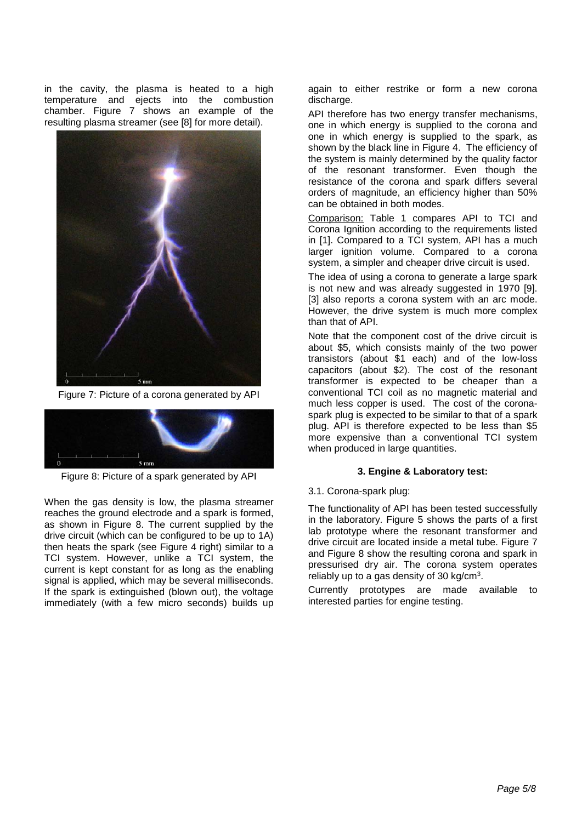in the cavity, the plasma is heated to a high temperature and ejects into the combustion chamber. [Figure 7](#page-4-0) shows an example of the resulting plasma streamer (see [8] for more detail).



Figure 7: Picture of a corona generated by API

<span id="page-4-0"></span>

Figure 8: Picture of a spark generated by API

<span id="page-4-1"></span>When the gas density is low, the plasma streamer reaches the ground electrode and a spark is formed, as shown in [Figure 8.](#page-4-1) The current supplied by the drive circuit (which can be configured to be up to 1A) then heats the spark (see [Figure 4](#page-2-0) right) similar to a TCI system. However, unlike a TCI system, the current is kept constant for as long as the enabling signal is applied, which may be several milliseconds. If the spark is extinguished (blown out), the voltage immediately (with a few micro seconds) builds up

again to either restrike or form a new corona discharge.

API therefore has two energy transfer mechanisms, one in which energy is supplied to the corona and one in which energy is supplied to the spark, as shown by the black line in [Figure 4.](#page-2-0) The efficiency of the system is mainly determined by the quality factor of the resonant transformer. Even though the resistance of the corona and spark differs several orders of magnitude, an efficiency higher than 50% can be obtained in both modes.

Comparison: Table 1 compares API to TCI and Corona Ignition according to the requirements listed in [1]. Compared to a TCI system, API has a much larger ignition volume. Compared to a corona system, a simpler and cheaper drive circuit is used.

The idea of using a corona to generate a large spark is not new and was already suggested in 1970 [9]. [3] also reports a corona system with an arc mode. However, the drive system is much more complex than that of API.

Note that the component cost of the drive circuit is about \$5, which consists mainly of the two power transistors (about \$1 each) and of the low-loss capacitors (about \$2). The cost of the resonant transformer is expected to be cheaper than a conventional TCI coil as no magnetic material and much less copper is used. The cost of the coronaspark plug is expected to be similar to that of a spark plug. API is therefore expected to be less than \$5 more expensive than a conventional TCI system when produced in large quantities.

## **3. Engine & Laboratory test:**

#### 3.1. Corona-spark plug:

The functionality of API has been tested successfully in the laboratory. [Figure 5](#page-3-1) shows the parts of a first lab prototype where the resonant transformer and drive circuit are located inside a metal tube. [Figure 7](#page-4-0) and [Figure 8](#page-4-1) show the resulting corona and spark in pressurised dry air. The corona system operates reliably up to a gas density of 30 kg/ $cm<sup>3</sup>$ .

Currently prototypes are made available to interested parties for engine testing.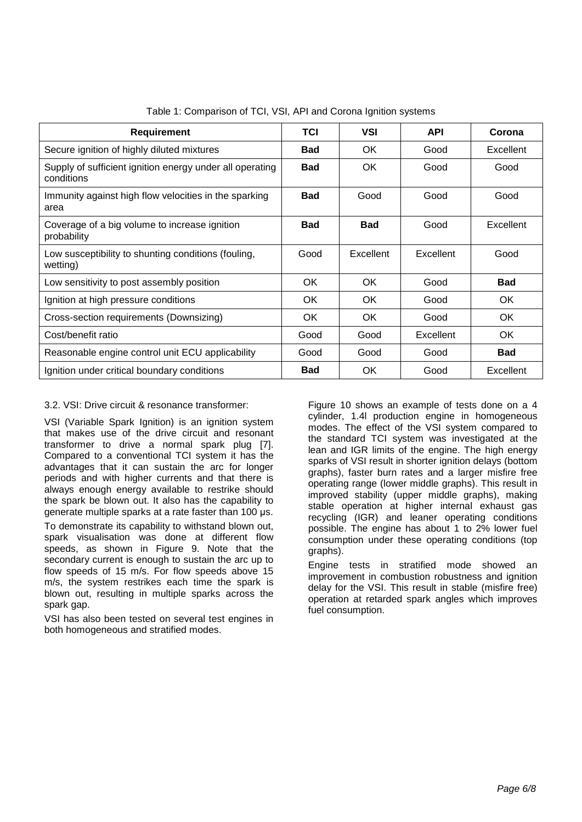| <b>Requirement</b>                                                     | TCI        | VSI        | <b>API</b> | Corona     |
|------------------------------------------------------------------------|------------|------------|------------|------------|
| Secure ignition of highly diluted mixtures                             | <b>Bad</b> | OK.        | Good       | Excellent  |
| Supply of sufficient ignition energy under all operating<br>conditions | <b>Bad</b> | OK.        | Good       | Good       |
| Immunity against high flow velocities in the sparking<br>area          | <b>Bad</b> | Good       | Good       | Good       |
| Coverage of a big volume to increase ignition<br>probability           | <b>Bad</b> | <b>Bad</b> | Good       | Excellent  |
| Low susceptibility to shunting conditions (fouling,<br>wetting)        | Good       | Excellent  | Excellent  | Good       |
| Low sensitivity to post assembly position                              | OK.        | <b>OK</b>  | Good       | <b>Bad</b> |
| Ignition at high pressure conditions                                   | OK.        | OK.        | Good       | OK.        |
| Cross-section requirements (Downsizing)                                | OK.        | OK.        | Good       | OK.        |
| Cost/benefit ratio                                                     | Good       | Good       | Excellent  | 0K         |
| Reasonable engine control unit ECU applicability                       | Good       | Good       | Good       | <b>Bad</b> |
| Ignition under critical boundary conditions                            | <b>Bad</b> | OK.        | Good       | Excellent  |

Table 1: Comparison of TCI, VSI, API and Corona Ignition systems

## 3.2. VSI: Drive circuit & resonance transformer:

VSI (Variable Spark Ignition) is an ignition system that makes use of the drive circuit and resonant transformer to drive a normal spark plug [7]. Compared to a conventional TCI system it has the advantages that it can sustain the arc for longer periods and with higher currents and that there is always enough energy available to restrike should the spark be blown out. It also has the capability to generate multiple sparks at a rate faster than 100 μs.

To demonstrate its capability to withstand blown out, spark visualisation was done at different flow speeds, as shown in [Figure 9.](#page-6-0) Note that the secondary current is enough to sustain the arc up to flow speeds of 15 m/s. For flow speeds above 15 m/s, the system restrikes each time the spark is blown out, resulting in multiple sparks across the spark gap.

VSI has also been tested on several test engines in both homogeneous and stratified modes.

[Figure 10](#page-6-1) shows an example of tests done on a 4 cylinder, 1.4l production engine in homogeneous modes. The effect of the VSI system compared to the standard TCI system was investigated at the lean and IGR limits of the engine. The high energy sparks of VSI result in shorter ignition delays (bottom graphs), faster burn rates and a larger misfire free operating range (lower middle graphs). This result in improved stability (upper middle graphs), making stable operation at higher internal exhaust gas recycling (IGR) and leaner operating conditions possible. The engine has about 1 to 2% lower fuel consumption under these operating conditions (top graphs).

Engine tests in stratified mode showed an improvement in combustion robustness and ignition delay for the VSI. This result in stable (misfire free) operation at retarded spark angles which improves fuel consumption.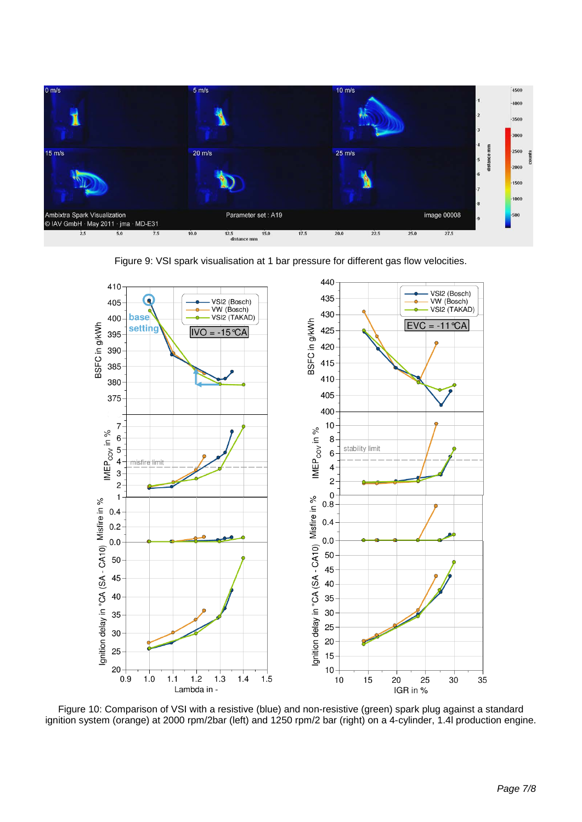



<span id="page-6-0"></span>

<span id="page-6-1"></span>Figure 10: Comparison of VSI with a resistive (blue) and non-resistive (green) spark plug against a standard ignition system (orange) at 2000 rpm/2bar (left) and 1250 rpm/2 bar (right) on a 4-cylinder, 1.4l production engine.